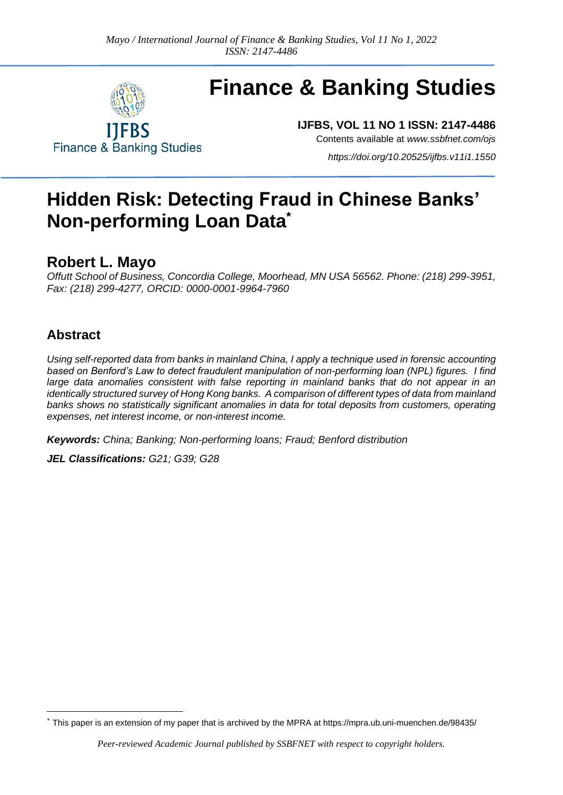

# **Finance & Banking Studies**

**IJFBS, VOL 11 NO 1 ISSN: 2147-4486**

**Finance & Banking Studies** 

Contents available at *[www.ssbfnet.com/ojs](http://www.ssbfnet.com/ojs)*

*<https://doi.org/10.20525/ijfbs.v11i1.1550>*

## **Hidden Risk: Detecting Fraud in Chinese Banks' Non-performing Loan Data\***

### **Robert L. Mayo**

*Offutt School of Business, Concordia College, Moorhead, MN USA 56562. Phone: (218) 299-3951, Fax: (218) 299-4277, ORCID: 0000-0001-9964-7960*

#### **Abstract**

*Using self-reported data from banks in mainland China, I apply a technique used in forensic accounting based on Benford's Law to detect fraudulent manipulation of non-performing loan (NPL) figures. I find*  large data anomalies consistent with false reporting in mainland banks that do not appear in an *identically structured survey of Hong Kong banks. A comparison of different types of data from mainland banks shows no statistically significant anomalies in data for total deposits from customers, operating expenses, net interest income, or non-interest income.*

*Keywords: China; Banking; Non-performing loans; Fraud; Benford distribution*

*JEL Classifications: G21; G39; G28*

<sup>\*</sup> This paper is an extension of my paper that is archived by the MPRA at <https://mpra.ub.uni-muenchen.de/98435/>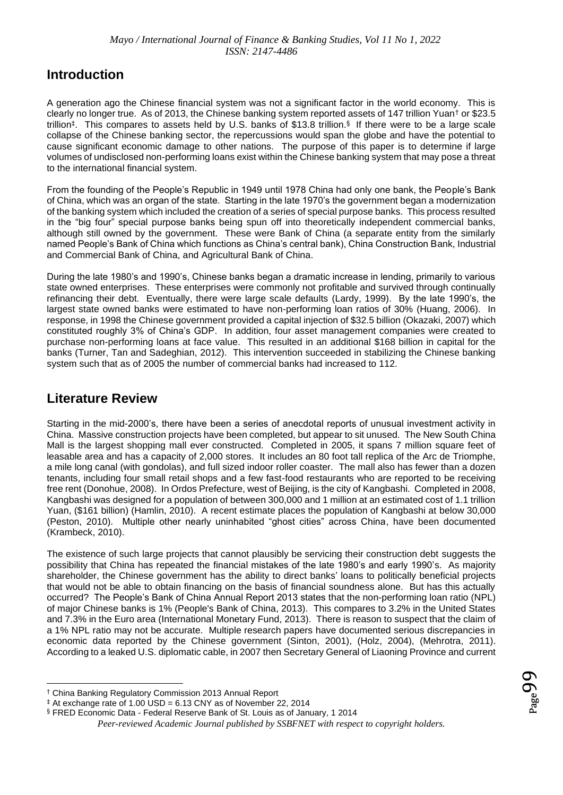#### **Introduction**

A generation ago the Chinese financial system was not a significant factor in the world economy. This is clearly no longer true. As of 2013, the Chinese banking system reported assets of 147 trillion Yuan† or \$23.5 trillion‡ . This compares to assets held by U.S. banks of \$13.8 trillion.§ If there were to be a large scale collapse of the Chinese banking sector, the repercussions would span the globe and have the potential to cause significant economic damage to other nations. The purpose of this paper is to determine if large volumes of undisclosed non-performing loans exist within the Chinese banking system that may pose a threat to the international financial system.

From the founding of the People's Republic in 1949 until 1978 China had only one bank, the People's Bank of China, which was an organ of the state. Starting in the late 1970's the government began a modernization of the banking system which included the creation of a series of special purpose banks. This process resulted in the "big four" special purpose banks being spun off into theoretically independent commercial banks, although still owned by the government. These were Bank of China (a separate entity from the similarly named People's Bank of China which functions as China's central bank), China Construction Bank, Industrial and Commercial Bank of China, and Agricultural Bank of China.

During the late 1980's and 1990's, Chinese banks began a dramatic increase in lending, primarily to various state owned enterprises. These enterprises were commonly not profitable and survived through continually refinancing their debt. Eventually, there were large scale defaults (Lardy, 1999). By the late 1990's, the largest state owned banks were estimated to have non-performing loan ratios of 30% (Huang, 2006). In response, in 1998 the Chinese government provided a capital injection of \$32.5 billion (Okazaki, 2007) which constituted roughly 3% of China's GDP. In addition, four asset management companies were created to purchase non-performing loans at face value. This resulted in an additional \$168 billion in capital for the banks (Turner, Tan and Sadeghian, 2012). This intervention succeeded in stabilizing the Chinese banking system such that as of 2005 the number of commercial banks had increased to 112.

#### **Literature Review**

Starting in the mid-2000's, there have been a series of anecdotal reports of unusual investment activity in China. Massive construction projects have been completed, but appear to sit unused. The New South China Mall is the largest shopping mall ever constructed. Completed in 2005, it spans 7 million square feet of leasable area and has a capacity of 2,000 stores. It includes an 80 foot tall replica of the Arc de Triomphe, a mile long canal (with gondolas), and full sized indoor roller coaster. The mall also has fewer than a dozen tenants, including four small retail shops and a few fast-food restaurants who are reported to be receiving free rent (Donohue, 2008). In Ordos Prefecture, west of Beijing, is the city of Kangbashi. Completed in 2008, Kangbashi was designed for a population of between 300,000 and 1 million at an estimated cost of 1.1 trillion Yuan, (\$161 billion) (Hamlin, 2010). A recent estimate places the population of Kangbashi at below 30,000 (Peston, 2010). Multiple other nearly uninhabited "ghost cities" across China, have been documented (Krambeck, 2010).

The existence of such large projects that cannot plausibly be servicing their construction debt suggests the possibility that China has repeated the financial mistakes of the late 1980's and early 1990's. As majority shareholder, the Chinese government has the ability to direct banks' loans to politically beneficial projects that would not be able to obtain financing on the basis of financial soundness alone. But has this actually occurred? The People's Bank of China Annual Report 2013 states that the non-performing loan ratio (NPL) of major Chinese banks is 1% (People's Bank of China, 2013). This compares to 3.2% in the United States and 7.3% in the Euro area (International Monetary Fund, 2013). There is reason to suspect that the claim of a 1% NPL ratio may not be accurate. Multiple research papers have documented serious discrepancies in economic data reported by the Chinese government (Sinton, 2001), (Holz, 2004), (Mehrotra, 2011). According to a leaked U.S. diplomatic cable, in 2007 then Secretary General of Liaoning Province and current

<sup>†</sup> China Banking Regulatory Commission 2013 Annual Report

 $*$  At exchange rate of 1.00 USD = 6.13 CNY as of November 22, 2014

<sup>§</sup> FRED Economic Data - Federal Reserve Bank of St. Louis as of January, 1 2014

*Peer-reviewed Academic Journal published by SSBFNET with respect to copyright holders.*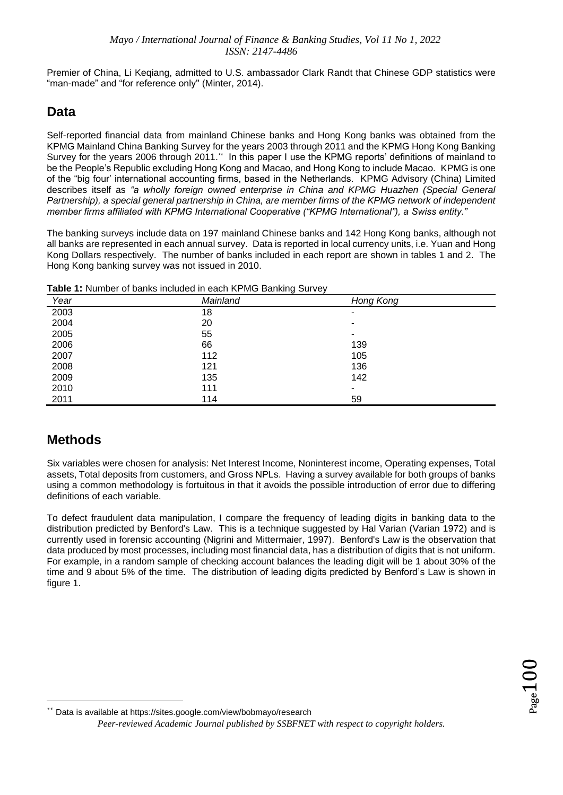Premier of China, Li Keqiang, admitted to U.S. ambassador Clark Randt that Chinese GDP statistics were "man-made" and "for reference only" (Minter, 2014).

#### **Data**

Self-reported financial data from mainland Chinese banks and Hong Kong banks was obtained from the KPMG Mainland China Banking Survey for the years 2003 through 2011 and the KPMG Hong Kong Banking Survey for the years 2006 through 2011.<sup>\*\*</sup> In this paper I use the KPMG reports' definitions of mainland to be the People's Republic excluding Hong Kong and Macao, and Hong Kong to include Macao. KPMG is one of the "big four' international accounting firms, based in the Netherlands. KPMG Advisory (China) Limited describes itself as *"a wholly foreign owned enterprise in China and KPMG Huazhen (Special General Partnership), a special general partnership in China, are member firms of the KPMG network of independent member firms affiliated with KPMG International Cooperative ("KPMG International"), a Swiss entity."*

The banking surveys include data on 197 mainland Chinese banks and 142 Hong Kong banks, although not all banks are represented in each annual survey. Data is reported in local currency units, i.e. Yuan and Hong Kong Dollars respectively. The number of banks included in each report are shown in tables 1 and 2. The Hong Kong banking survey was not issued in 2010.

| Table 1: Number of banks included in each KPMG Banking Survey |  |  |  |
|---------------------------------------------------------------|--|--|--|
|                                                               |  |  |  |

| Year | Mainland | Hong Kong |
|------|----------|-----------|
| 2003 | 18       | ۰         |
| 2004 | 20       | ۰         |
| 2005 | 55       | ۰         |
| 2006 | 66       | 139       |
| 2007 | 112      | 105       |
| 2008 | 121      | 136       |
| 2009 | 135      | 142       |
| 2010 | 111      | ۰         |
| 2011 | 114      | 59        |

#### **Methods**

Six variables were chosen for analysis: Net Interest Income, Noninterest income, Operating expenses, Total assets, Total deposits from customers, and Gross NPLs. Having a survey available for both groups of banks using a common methodology is fortuitous in that it avoids the possible introduction of error due to differing definitions of each variable.

To defect fraudulent data manipulation, I compare the frequency of leading digits in banking data to the distribution predicted by Benford's Law. This is a technique suggested by Hal Varian (Varian 1972) and is currently used in forensic accounting (Nigrini and Mittermaier, 1997). Benford's Law is the observation that data produced by most processes, including most financial data, has a distribution of digits that is not uniform. For example, in a random sample of checking account balances the leading digit will be 1 about 30% of the time and 9 about 5% of the time. The distribution of leading digits predicted by Benford's Law is shown in figure 1.

*Peer-reviewed Academic Journal published by SSBFNET with respect to copyright holders.* Data is available a[t https://sites.google.com/view/bobmayo/research](https://sites.google.com/view/bobmayo/research)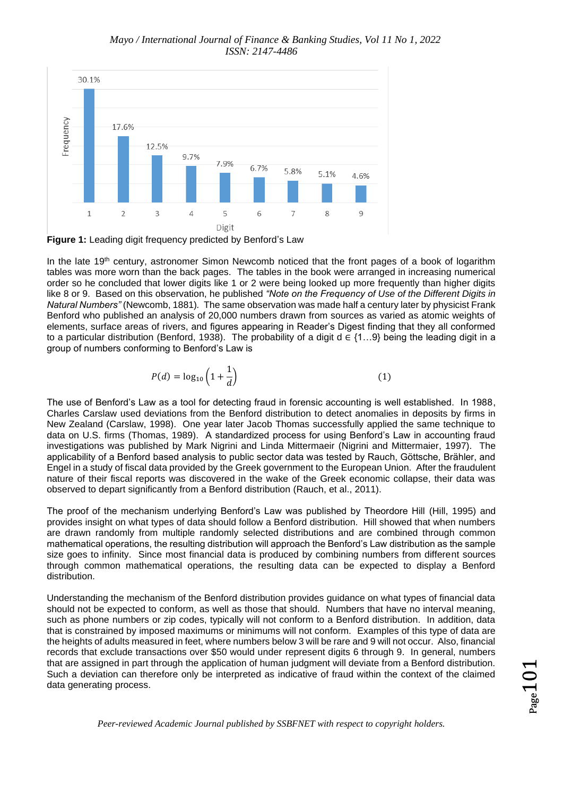

**Figure 1:** Leading digit frequency predicted by Benford's Law

In the late 19<sup>th</sup> century, astronomer Simon Newcomb noticed that the front pages of a book of logarithm tables was more worn than the back pages. The tables in the book were arranged in increasing numerical order so he concluded that lower digits like 1 or 2 were being looked up more frequently than higher digits like 8 or 9. Based on this observation, he published *"Note on the Frequency of Use of the Different Digits in Natural Numbers"* (Newcomb, 1881)*.* The same observation was made half a century later by physicist Frank Benford who published an analysis of 20,000 numbers drawn from sources as varied as atomic weights of elements, surface areas of rivers, and figures appearing in Reader's Digest finding that they all conformed to a particular distribution (Benford, 1938). The probability of a digit d  $\in \{1,..9\}$  being the leading digit in a group of numbers conforming to Benford's Law is

$$
P(d) = \log_{10}\left(1 + \frac{1}{d}\right) \tag{1}
$$

The use of Benford's Law as a tool for detecting fraud in forensic accounting is well established. In 1988, Charles Carslaw used deviations from the Benford distribution to detect anomalies in deposits by firms in New Zealand (Carslaw, 1998). One year later Jacob Thomas successfully applied the same technique to data on U.S. firms (Thomas, 1989). A standardized process for using Benford's Law in accounting fraud investigations was published by Mark Nigrini and Linda Mittermaeir (Nigrini and Mittermaier, 1997). The applicability of a Benford based analysis to public sector data was tested by Rauch, Göttsche, Brähler, and Engel in a study of fiscal data provided by the Greek government to the European Union. After the fraudulent nature of their fiscal reports was discovered in the wake of the Greek economic collapse, their data was observed to depart significantly from a Benford distribution (Rauch, et al., 2011).

The proof of the mechanism underlying Benford's Law was published by Theordore Hill (Hill, 1995) and provides insight on what types of data should follow a Benford distribution. Hill showed that when numbers are drawn randomly from multiple randomly selected distributions and are combined through common mathematical operations, the resulting distribution will approach the Benford's Law distribution as the sample size goes to infinity. Since most financial data is produced by combining numbers from different sources through common mathematical operations, the resulting data can be expected to display a Benford distribution.

Understanding the mechanism of the Benford distribution provides guidance on what types of financial data should not be expected to conform, as well as those that should. Numbers that have no interval meaning, such as phone numbers or zip codes, typically will not conform to a Benford distribution. In addition, data that is constrained by imposed maximums or minimums will not conform. Examples of this type of data are the heights of adults measured in feet, where numbers below 3 will be rare and 9 will not occur. Also, financial records that exclude transactions over \$50 would under represent digits 6 through 9. In general, numbers that are assigned in part through the application of human judgment will deviate from a Benford distribution. Such a deviation can therefore only be interpreted as indicative of fraud within the context of the claimed data generating process.

*Peer-reviewed Academic Journal published by SSBFNET with respect to copyright holders.*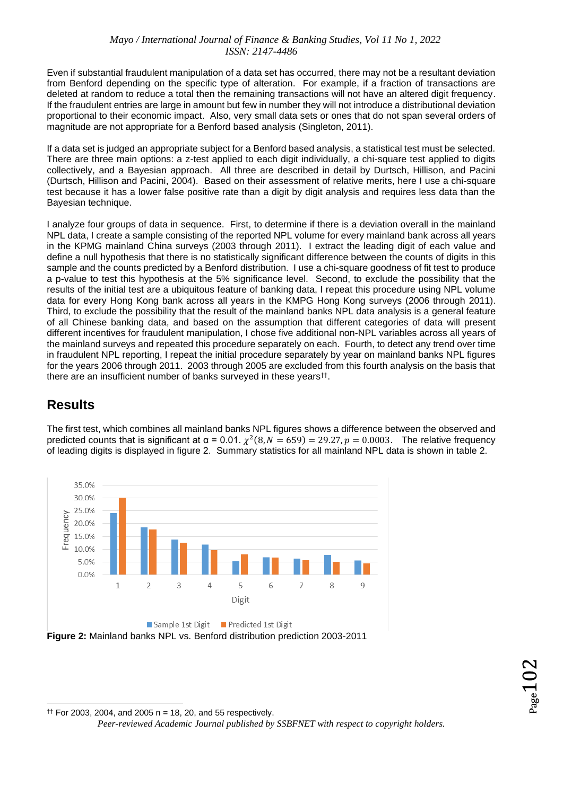#### *Mayo / International Journal of Finance & Banking Studies, Vol 11 No 1, 2022 ISSN: 2147-4486*

Even if substantial fraudulent manipulation of a data set has occurred, there may not be a resultant deviation from Benford depending on the specific type of alteration. For example, if a fraction of transactions are deleted at random to reduce a total then the remaining transactions will not have an altered digit frequency. If the fraudulent entries are large in amount but few in number they will not introduce a distributional deviation proportional to their economic impact. Also, very small data sets or ones that do not span several orders of magnitude are not appropriate for a Benford based analysis (Singleton, 2011).

If a data set is judged an appropriate subject for a Benford based analysis, a statistical test must be selected. There are three main options: a z-test applied to each digit individually, a chi-square test applied to digits collectively, and a Bayesian approach. All three are described in detail by Durtsch, Hillison, and Pacini (Durtsch, Hillison and Pacini, 2004). Based on their assessment of relative merits, here I use a chi-square test because it has a lower false positive rate than a digit by digit analysis and requires less data than the Bayesian technique.

I analyze four groups of data in sequence. First, to determine if there is a deviation overall in the mainland NPL data, I create a sample consisting of the reported NPL volume for every mainland bank across all years in the KPMG mainland China surveys (2003 through 2011). I extract the leading digit of each value and define a null hypothesis that there is no statistically significant difference between the counts of digits in this sample and the counts predicted by a Benford distribution. I use a chi-square goodness of fit test to produce a p-value to test this hypothesis at the 5% significance level. Second, to exclude the possibility that the results of the initial test are a ubiquitous feature of banking data, I repeat this procedure using NPL volume data for every Hong Kong bank across all years in the KMPG Hong Kong surveys (2006 through 2011). Third, to exclude the possibility that the result of the mainland banks NPL data analysis is a general feature of all Chinese banking data, and based on the assumption that different categories of data will present different incentives for fraudulent manipulation, I chose five additional non-NPL variables across all years of the mainland surveys and repeated this procedure separately on each. Fourth, to detect any trend over time in fraudulent NPL reporting, I repeat the initial procedure separately by year on mainland banks NPL figures for the years 2006 through 2011. 2003 through 2005 are excluded from this fourth analysis on the basis that there are an insufficient number of banks surveyed in these years†† .

#### **Results**



The first test, which combines all mainland banks NPL figures shows a difference between the observed and predicted counts that is significant at α = 0.01.  $\chi^2(8, N = 659) = 29.27, p = 0.0003$ . The relative frequency of leading digits is displayed in figure 2. Summary statistics for all mainland NPL data is shown in table 2.

**Figure 2:** Mainland banks NPL vs. Benford distribution prediction 2003-2011

*Peer-reviewed Academic Journal published by SSBFNET with respect to copyright holders.*  $\uparrow$  For 2003, 2004, and 2005 n = 18, 20, and 55 respectively.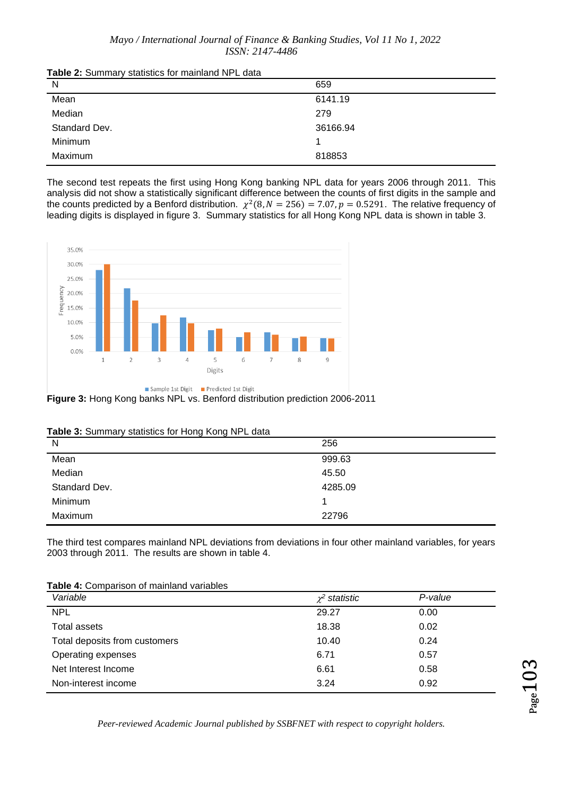| Table 2: Summary statistics for mainland NPL data |  |  |  |
|---------------------------------------------------|--|--|--|
|---------------------------------------------------|--|--|--|

| $\frac{1}{2}$ and $\frac{1}{2}$ continues to the control of the control of $\frac{1}{2}$ and $\frac{1}{2}$ and $\frac{1}{2}$ and $\frac{1}{2}$ and $\frac{1}{2}$ and $\frac{1}{2}$ and $\frac{1}{2}$ and $\frac{1}{2}$ and $\frac{1}{2}$ and $\frac{1}{2}$ and $\frac{1}{2}$ and |          |
|----------------------------------------------------------------------------------------------------------------------------------------------------------------------------------------------------------------------------------------------------------------------------------|----------|
| N                                                                                                                                                                                                                                                                                | 659      |
| Mean                                                                                                                                                                                                                                                                             | 6141.19  |
| Median                                                                                                                                                                                                                                                                           | 279      |
| Standard Dev.                                                                                                                                                                                                                                                                    | 36166.94 |
| Minimum                                                                                                                                                                                                                                                                          |          |
| Maximum                                                                                                                                                                                                                                                                          | 818853   |
|                                                                                                                                                                                                                                                                                  |          |

The second test repeats the first using Hong Kong banking NPL data for years 2006 through 2011. This analysis did not show a statistically significant difference between the counts of first digits in the sample and the counts predicted by a Benford distribution.  $\chi^2(8, N = 256) = 7.07, p = 0.5291$ . The relative frequency of leading digits is displayed in figure 3. Summary statistics for all Hong Kong NPL data is shown in table 3.



**Figure 3:** Hong Kong banks NPL vs. Benford distribution prediction 2006-2011

| Table 3: Summary statistics for Hong Kong NPL data |  |  |  |  |
|----------------------------------------------------|--|--|--|--|
|----------------------------------------------------|--|--|--|--|

| $\cdot$<br>.<br>N | 256     |
|-------------------|---------|
| Mean              | 999.63  |
| Median            | 45.50   |
| Standard Dev.     | 4285.09 |
| Minimum           |         |
| Maximum           | 22796   |

The third test compares mainland NPL deviations from deviations in four other mainland variables, for years 2003 through 2011. The results are shown in table 4.

| Table 4: Comparison of mainland variables |  |
|-------------------------------------------|--|
|-------------------------------------------|--|

| Variable                      | $\chi^2$ statistic | P-value |
|-------------------------------|--------------------|---------|
| <b>NPL</b>                    | 29.27              | 0.00    |
| Total assets                  | 18.38              | 0.02    |
| Total deposits from customers | 10.40              | 0.24    |
| Operating expenses            | 6.71               | 0.57    |
| Net Interest Income           | 6.61               | 0.58    |
| Non-interest income           | 3.24               | 0.92    |

*Peer-reviewed Academic Journal published by SSBFNET with respect to copyright holders.*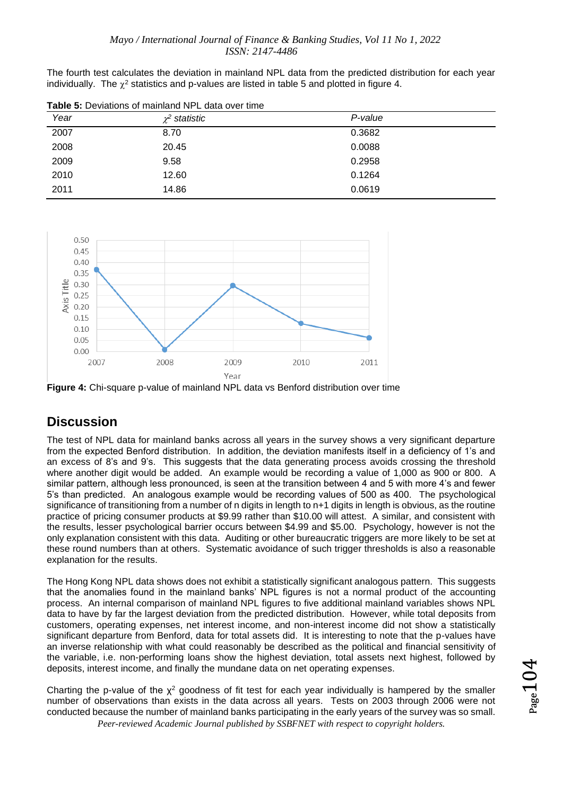The fourth test calculates the deviation in mainland NPL data from the predicted distribution for each year individually. The  $\chi^2$  statistics and p-values are listed in table 5 and plotted in figure 4.

| Year | $\chi^2$ statistic | P-value |
|------|--------------------|---------|
| 2007 | 8.70               | 0.3682  |
| 2008 | 20.45              | 0.0088  |
| 2009 | 9.58               | 0.2958  |
| 2010 | 12.60              | 0.1264  |
| 2011 | 14.86              | 0.0619  |

**Table 5:** Deviations of mainland NPL data over time



**Figure 4:** Chi-square p-value of mainland NPL data vs Benford distribution over time

#### **Discussion**

The test of NPL data for mainland banks across all years in the survey shows a very significant departure from the expected Benford distribution. In addition, the deviation manifests itself in a deficiency of 1's and an excess of 8's and 9's. This suggests that the data generating process avoids crossing the threshold where another digit would be added. An example would be recording a value of 1,000 as 900 or 800. A similar pattern, although less pronounced, is seen at the transition between 4 and 5 with more 4's and fewer 5's than predicted. An analogous example would be recording values of 500 as 400. The psychological significance of transitioning from a number of n digits in length to n+1 digits in length is obvious, as the routine practice of pricing consumer products at \$9.99 rather than \$10.00 will attest. A similar, and consistent with the results, lesser psychological barrier occurs between \$4.99 and \$5.00. Psychology, however is not the only explanation consistent with this data. Auditing or other bureaucratic triggers are more likely to be set at these round numbers than at others. Systematic avoidance of such trigger thresholds is also a reasonable explanation for the results.

The Hong Kong NPL data shows does not exhibit a statistically significant analogous pattern. This suggests that the anomalies found in the mainland banks' NPL figures is not a normal product of the accounting process. An internal comparison of mainland NPL figures to five additional mainland variables shows NPL data to have by far the largest deviation from the predicted distribution. However, while total deposits from customers, operating expenses, net interest income, and non-interest income did not show a statistically significant departure from Benford, data for total assets did. It is interesting to note that the p-values have an inverse relationship with what could reasonably be described as the political and financial sensitivity of the variable, i.e. non-performing loans show the highest deviation, total assets next highest, followed by deposits, interest income, and finally the mundane data on net operating expenses.

*Peer-reviewed Academic Journal published by SSBFNET with respect to copyright holders.* Charting the p-value of the  $x^2$  goodness of fit test for each year individually is hampered by the smaller number of observations than exists in the data across all years. Tests on 2003 through 2006 were not conducted because the number of mainland banks participating in the early years of the survey was so small.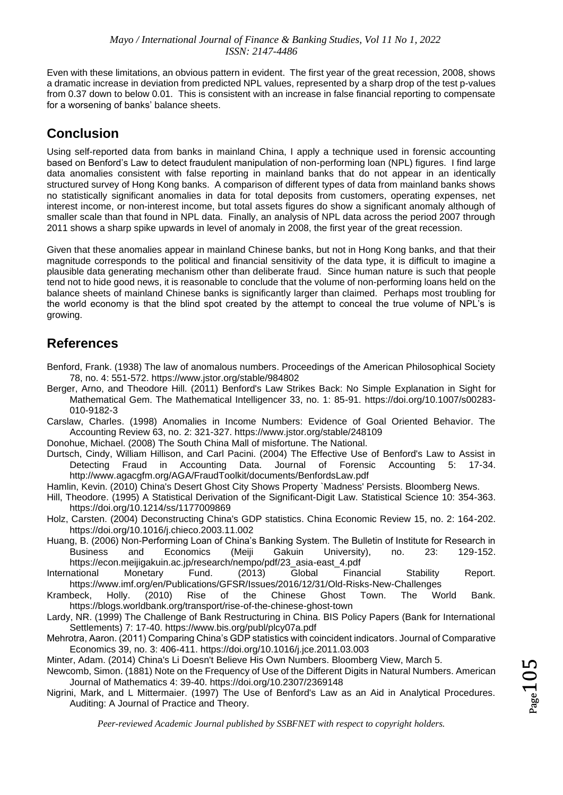Even with these limitations, an obvious pattern in evident. The first year of the great recession, 2008, shows a dramatic increase in deviation from predicted NPL values, represented by a sharp drop of the test p-values from 0.37 down to below 0.01. This is consistent with an increase in false financial reporting to compensate for a worsening of banks' balance sheets.

#### **Conclusion**

Using self-reported data from banks in mainland China, I apply a technique used in forensic accounting based on Benford's Law to detect fraudulent manipulation of non-performing loan (NPL) figures. I find large data anomalies consistent with false reporting in mainland banks that do not appear in an identically structured survey of Hong Kong banks. A comparison of different types of data from mainland banks shows no statistically significant anomalies in data for total deposits from customers, operating expenses, net interest income, or non-interest income, but total assets figures do show a significant anomaly although of smaller scale than that found in NPL data. Finally, an analysis of NPL data across the period 2007 through 2011 shows a sharp spike upwards in level of anomaly in 2008, the first year of the great recession.

Given that these anomalies appear in mainland Chinese banks, but not in Hong Kong banks, and that their magnitude corresponds to the political and financial sensitivity of the data type, it is difficult to imagine a plausible data generating mechanism other than deliberate fraud. Since human nature is such that people tend not to hide good news, it is reasonable to conclude that the volume of non-performing loans held on the balance sheets of mainland Chinese banks is significantly larger than claimed. Perhaps most troubling for the world economy is that the blind spot created by the attempt to conceal the true volume of NPL's is growing.

#### **References**

- Benford, Frank. (1938) The law of anomalous numbers. Proceedings of the American Philosophical Society 78, no. 4: 551-572. https://www.jstor.org/stable/984802
- Berger, Arno, and Theodore Hill. (2011) Benford's Law Strikes Back: No Simple Explanation in Sight for Mathematical Gem. The Mathematical Intelligencer 33, no. 1: 85-91. https://doi.org/10.1007/s00283- 010-9182-3

Carslaw, Charles. (1998) Anomalies in Income Numbers: Evidence of Goal Oriented Behavior. The Accounting Review 63, no. 2: 321-327. https://www.jstor.org/stable/248109

Donohue, Michael. (2008) The South China Mall of misfortune. The National.

Durtsch, Cindy, William Hillison, and Carl Pacini. (2004) The Effective Use of Benford's Law to Assist in Detecting Fraud in Accounting Data. Journal of Forensic Accounting 5: 17-34. http://www.agacgfm.org/AGA/FraudToolkit/documents/BenfordsLaw.pdf

Hamlin, Kevin. (2010) China's Desert Ghost City Shows Property `Madness' Persists. Bloomberg News.

Hill, Theodore. (1995) A Statistical Derivation of the Significant-Digit Law. Statistical Science 10: 354-363. https://doi.org/10.1214/ss/1177009869

Holz, Carsten. (2004) Deconstructing China's GDP statistics. China Economic Review 15, no. 2: 164-202. https://doi.org/10.1016/j.chieco.2003.11.002

Huang, B. (2006) Non-Performing Loan of China's Banking System. The Bulletin of Institute for Research in Business and Economics (Meiji Gakuin University), no. 23: 129-152. https://econ.meijigakuin.ac.jp/research/nempo/pdf/23\_asia-east\_4.pdf

International Monetary Fund. (2013) Global Financial Stability Report. https://www.imf.org/en/Publications/GFSR/Issues/2016/12/31/Old-Risks-New-Challenges<br>beck. Hollv. (2010) Rise of the Chinese Ghost Town. The World

Krambeck, Holly. (2010) Rise of the Chinese Ghost Town. The World Bank. https://blogs.worldbank.org/transport/rise-of-the-chinese-ghost-town

Lardy, NR. (1999) The Challenge of Bank Restructuring in China. BIS Policy Papers (Bank for International Settlements) 7: 17-40. https://www.bis.org/publ/plcy07a.pdf

Mehrotra, Aaron. (2011) Comparing China's GDP statistics with coincident indicators. Journal of Comparative Economics 39, no. 3: 406-411. https://doi.org/10.1016/j.jce.2011.03.003

Minter, Adam. (2014) China's Li Doesn't Believe His Own Numbers. Bloomberg View, March 5.

Newcomb, Simon. (1881) Note on the Frequency of Use of the Different Digits in Natural Numbers. American Journal of Mathematics 4: 39-40. https://doi.org/10.2307/2369148

Nigrini, Mark, and L Mittermaier. (1997) The Use of Benford's Law as an Aid in Analytical Procedures. Auditing: A Journal of Practice and Theory.

*Peer-reviewed Academic Journal published by SSBFNET with respect to copyright holders.*